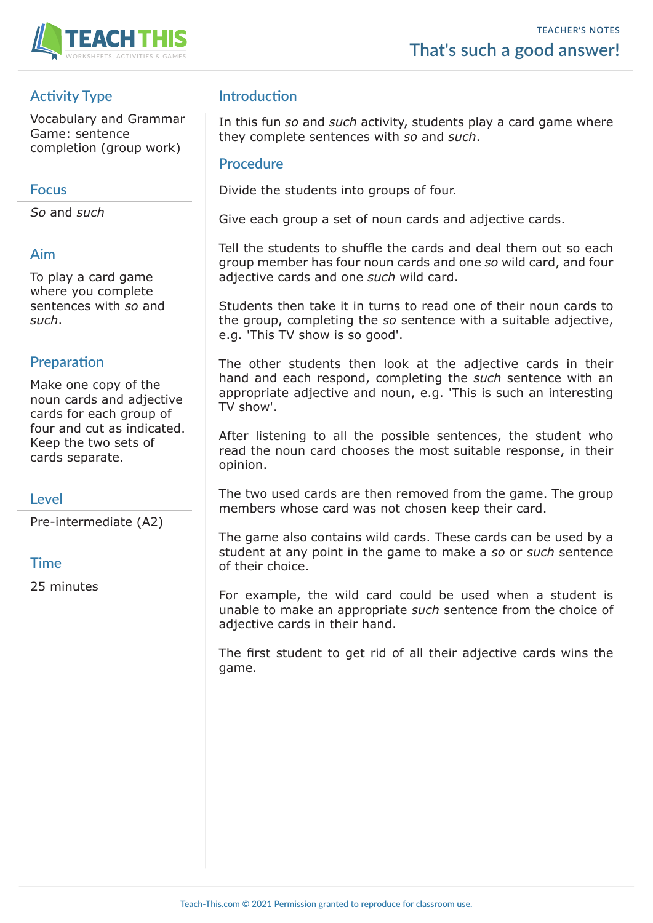

## **Activity Type**

Vocabulary and Grammar Game: sentence completion (group work)

### **Focus**

*So* and *such*

## **Aim**

To play a card game where you complete sentences with *so* and *such*.

## **Preparation**

Make one copy of the noun cards and adjective cards for each group of four and cut as indicated. Keep the two sets of cards separate.

## **Level**

Pre-intermediate (A2)

## **Time**

25 minutes

## **Introduction**

In this fun *so* and *such* activity, students play a card game where they complete sentences with *so* and *such*.

### **Procedure**

Divide the students into groups of four.

Give each group a set of noun cards and adjective cards.

Tell the students to shuffle the cards and deal them out so each group member has four noun cards and one *so* wild card, and four adjective cards and one *such* wild card.

Students then take it in turns to read one of their noun cards to the group, completing the *so* sentence with a suitable adjective, e.g. 'This TV show is so good'.

The other students then look at the adjective cards in their hand and each respond, completing the *such* sentence with an appropriate adjective and noun, e.g. 'This is such an interesting TV show'.

After listening to all the possible sentences, the student who read the noun card chooses the most suitable response, in their opinion.

The two used cards are then removed from the game. The group members whose card was not chosen keep their card.

The game also contains wild cards. These cards can be used by a student at any point in the game to make a *so* or *such* sentence of their choice.

For example, the wild card could be used when a student is unable to make an appropriate *such* sentence from the choice of adjective cards in their hand.

The first student to get rid of all their adjective cards wins the game.